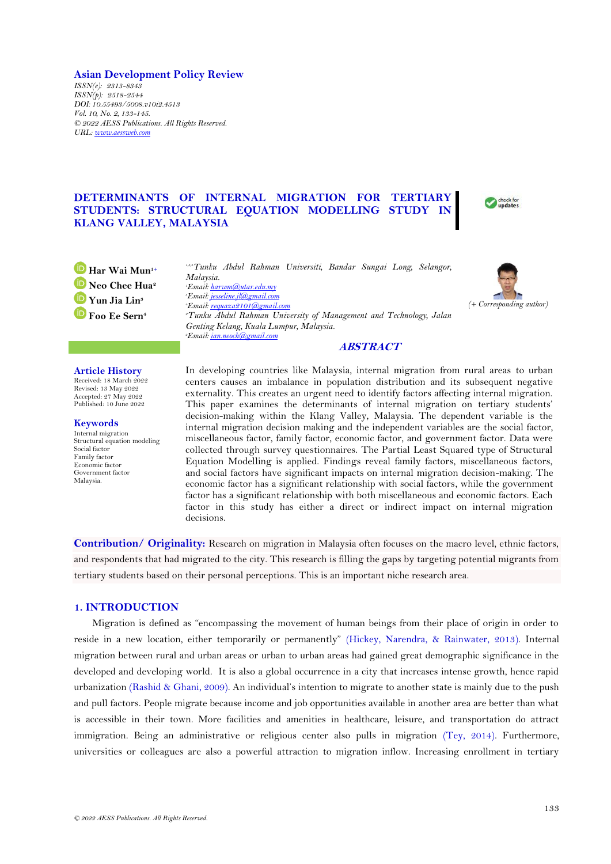**Asian Development Policy Review** *ISSN(e): 2313-8343 ISSN(p): 2518-2544 DOI: 10.55493/5008.v10i2.4513 Vol. 10, No. 2, 133-145. © 2022 AESS Publications. All Rights Reserved. URL: [www.aessweb.com](http://www.aessweb.com/)*

# **DETERMINANTS OF INTERNAL MIGRATION FOR TERTIARY STUDENTS: STRUCTURAL EQUATION MODELLING STUDY IN KLANG VALLEY, MALAYSIA**



**Har Wai Mun1+ Neo Chee Hua<sup>2</sup> Yun Jia Lin<sup>3</sup> Foo Ee Sern<sup>4</sup>**

*1,3,4Tunku Abdul Rahman Universiti, Bandar Sungai Long, Selangor, Malaysia. Email[: harwm@utar.edu.my](mailto:harwm@utar.edu.my) Email[: jesseline.jl@gmail.com](mailto:jesseline.jl@gmail.com) Email[: requaza2101@gmail.com](mailto:requaza2101@gmail.com) Tunku Abdul Rahman University of Management and Technology, Jalan Genting Kelang, Kuala Lumpur, Malaysia. Email[: ian.neoch@gmail.com](mailto:ian.neoch@gmail.com)*



#### **Article History**

Received: 18 March 2022 Revised: 13 May 2022 Accepted: 27 May 2022 Published: 10 June 2022

#### **Keywords** Internal migration

Structural equation modeling Social factor Family factor Economic factor Government factor Malaysia.

In developing countries like Malaysia, internal migration from rural areas to urban centers causes an imbalance in population distribution and its subsequent negative externality. This creates an urgent need to identify factors affecting internal migration. This paper examines the determinants of internal migration on tertiary students' decision-making within the Klang Valley, Malaysia. The dependent variable is the internal migration decision making and the independent variables are the social factor, miscellaneous factor, family factor, economic factor, and government factor. Data were collected through survey questionnaires. The Partial Least Squared type of Structural Equation Modelling is applied. Findings reveal family factors, miscellaneous factors, and social factors have significant impacts on internal migration decision-making. The economic factor has a significant relationship with social factors, while the government factor has a significant relationship with both miscellaneous and economic factors. Each factor in this study has either a direct or indirect impact on internal migration decisions.

**ABSTRACT**

**Contribution/ Originality:** Research on migration in Malaysia often focuses on the macro level, ethnic factors, and respondents that had migrated to the city. This research is filling the gaps by targeting potential migrants from tertiary students based on their personal perceptions. This is an important niche research area.

### **1. INTRODUCTION**

Migration is defined as "encompassing the movement of human beings from their place of origin in order to reside in a new location, either temporarily or permanently" [\(Hickey, Narendra, & Rainwater, 2013\)](#page-8-0). Internal migration between rural and urban areas or urban to urban areas had gained great demographic significance in the developed and developing world. It is also a global occurrence in a city that increases intense growth, hence rapid urbanization [\(Rashid & Ghani, 2009\)](#page-8-1). An individual's intention to migrate to another state is mainly due to the push and pull factors. People migrate because income and job opportunities available in another area are better than what is accessible in their town. More facilities and amenities in healthcare, leisure, and transportation do attract immigration. Being an administrative or religious center also pulls in migration [\(Tey, 2014\)](#page-9-0). Furthermore, universities or colleagues are also a powerful attraction to migration inflow. Increasing enrollment in tertiary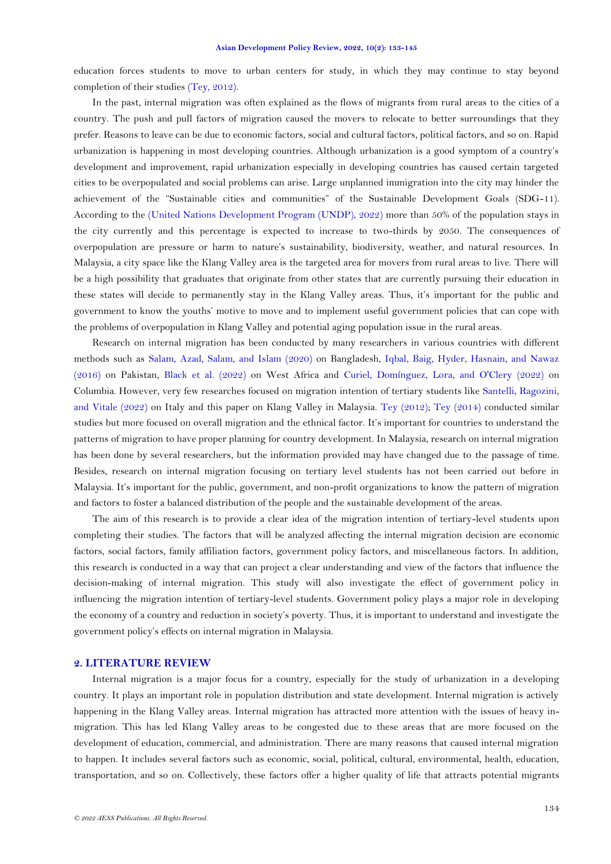education forces students to move to urban centers for study, in which they may continue to stay beyond completion of their studies [\(Tey, 2012\)](#page-9-1).

In the past, internal migration was often explained as the flows of migrants from rural areas to the cities of a country. The push and pull factors of migration caused the movers to relocate to better surroundings that they prefer. Reasons to leave can be due to economic factors, social and cultural factors, political factors, and so on. Rapid urbanization is happening in most developing countries. Although urbanization is a good symptom of a country's development and improvement, rapid urbanization especially in developing countries has caused certain targeted cities to be overpopulated and social problems can arise. Large unplanned immigration into the city may hinder the achievement of the "Sustainable cities and communities" of the Sustainable Development Goals (SDG-11). According to the [\(United Nations Development Program \(UNDP\), 2022\)](#page-9-2) more than 50% of the population stays in the city currently and this percentage is expected to increase to two-thirds by 2050. The consequences of overpopulation are pressure or harm to nature's sustainability, biodiversity, weather, and natural resources. In Malaysia, a city space like the Klang Valley area is the targeted area for movers from rural areas to live. There will be a high possibility that graduates that originate from other states that are currently pursuing their education in these states will decide to permanently stay in the Klang Valley areas. Thus, it's important for the public and government to know the youths' motive to move and to implement useful government policies that can cope with the problems of overpopulation in Klang Valley and potential aging population issue in the rural areas.

Research on internal migration has been conducted by many researchers in various countries with different methods such as [Salam, Azad, Salam, and Islam \(2020\)](#page-8-2) on Bangladesh, [Iqbal, Baig, Hyder, Hasnain, and Nawaz](#page-8-3)  [\(2016\)](#page-8-3) on Pakistan, [Black et al. \(2022\)](#page-8-4) on West Africa and [Curiel, Domínguez, Lora, and O'Clery \(2022\)](#page-8-5) on Columbia. However, very few researches focused on migration intention of tertiary students like [Santelli, Ragozini,](#page-8-6)  [and Vitale \(2022\)](#page-8-6) on Italy and this paper on Klang Valley in Malaysia. [Tey \(2012\)](#page-9-1); [Tey \(2014\)](#page-9-0) conducted similar studies but more focused on overall migration and the ethnical factor. It's important for countries to understand the patterns of migration to have proper planning for country development. In Malaysia, research on internal migration has been done by several researchers, but the information provided may have changed due to the passage of time. Besides, research on internal migration focusing on tertiary level students has not been carried out before in Malaysia. It's important for the public, government, and non-profit organizations to know the pattern of migration and factors to foster a balanced distribution of the people and the sustainable development of the areas.

The aim of this research is to provide a clear idea of the migration intention of tertiary-level students upon completing their studies. The factors that will be analyzed affecting the internal migration decision are economic factors, social factors, family affiliation factors, government policy factors, and miscellaneous factors. In addition, this research is conducted in a way that can project a clear understanding and view of the factors that influence the decision-making of internal migration. This study will also investigate the effect of government policy in influencing the migration intention of tertiary-level students. Government policy plays a major role in developing the economy of a country and reduction in society's poverty. Thus, it is important to understand and investigate the government policy's effects on internal migration in Malaysia.

# **2. LITERATURE REVIEW**

Internal migration is a major focus for a country, especially for the study of urbanization in a developing country. It plays an important role in population distribution and state development. Internal migration is actively happening in the Klang Valley areas. Internal migration has attracted more attention with the issues of heavy inmigration. This has led Klang Valley areas to be congested due to these areas that are more focused on the development of education, commercial, and administration. There are many reasons that caused internal migration to happen. It includes several factors such as economic, social, political, cultural, environmental, health, education, transportation, and so on. Collectively, these factors offer a higher quality of life that attracts potential migrants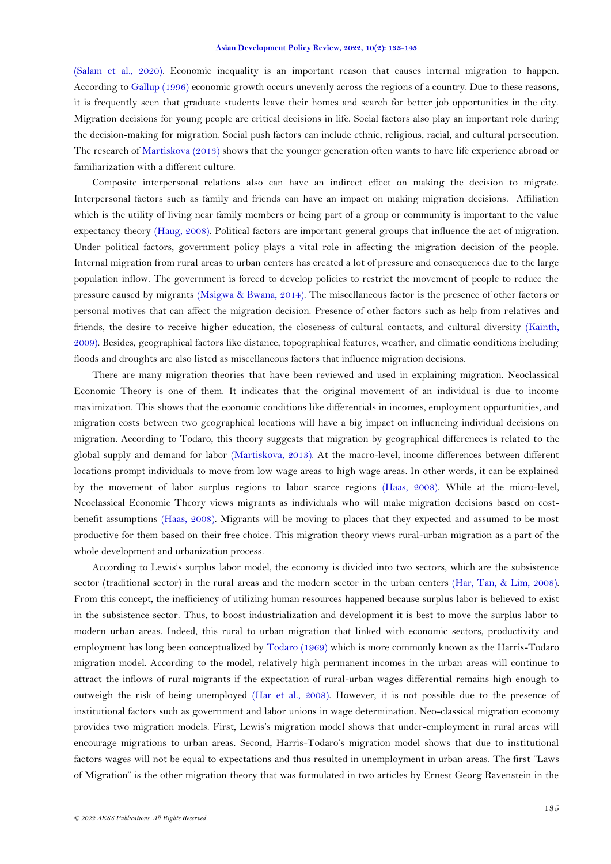[\(Salam et al., 2020\)](#page-8-2). Economic inequality is an important reason that causes internal migration to happen. According to [Gallup \(1996\)](#page-8-7) economic growth occurs unevenly across the regions of a country. Due to these reasons, it is frequently seen that graduate students leave their homes and search for better job opportunities in the city. Migration decisions for young people are critical decisions in life. Social factors also play an important role during the decision-making for migration. Social push factors can include ethnic, religious, racial, and cultural persecution. The research of [Martiskova \(2013\)](#page-8-8) shows that the younger generation often wants to have life experience abroad or familiarization with a different culture.

Composite interpersonal relations also can have an indirect effect on making the decision to migrate. Interpersonal factors such as family and friends can have an impact on making migration decisions. Affiliation which is the utility of living near family members or being part of a group or community is important to the value expectancy theory [\(Haug, 2008\)](#page-8-9). Political factors are important general groups that influence the act of migration. Under political factors, government policy plays a vital role in affecting the migration decision of the people. Internal migration from rural areas to urban centers has created a lot of pressure and consequences due to the large population inflow. The government is forced to develop policies to restrict the movement of people to reduce the pressure caused by migrants [\(Msigwa & Bwana, 2014\)](#page-8-10). The miscellaneous factor is the presence of other factors or personal motives that can affect the migration decision. Presence of other factors such as help from relatives and friends, the desire to receive higher education, the closeness of cultural contacts, and cultural diversity [\(Kainth,](#page-8-11)  [2009\)](#page-8-11). Besides, geographical factors like distance, topographical features, weather, and climatic conditions including floods and droughts are also listed as miscellaneous factors that influence migration decisions.

There are many migration theories that have been reviewed and used in explaining migration. Neoclassical Economic Theory is one of them. It indicates that the original movement of an individual is due to income maximization. This shows that the economic conditions like differentials in incomes, employment opportunities, and migration costs between two geographical locations will have a big impact on influencing individual decisions on migration. According to Todaro, this theory suggests that migration by geographical differences is related to the global supply and demand for labor [\(Martiskova, 2013\)](#page-8-8). At the macro-level, income differences between different locations prompt individuals to move from low wage areas to high wage areas. In other words, it can be explained by the movement of labor surplus regions to labor scarce regions [\(Haas, 2008\)](#page-8-12). While at the micro-level, Neoclassical Economic Theory views migrants as individuals who will make migration decisions based on costbenefit assumptions [\(Haas, 2008\)](#page-8-12). Migrants will be moving to places that they expected and assumed to be most productive for them based on their free choice. This migration theory views rural-urban migration as a part of the whole development and urbanization process.

According to Lewis's surplus labor model, the economy is divided into two sectors, which are the subsistence sector (traditional sector) in the rural areas and the modern sector in the urban centers [\(Har, Tan, & Lim, 2008\)](#page-8-13). From this concept, the inefficiency of utilizing human resources happened because surplus labor is believed to exist in the subsistence sector. Thus, to boost industrialization and development it is best to move the surplus labor to modern urban areas. Indeed, this rural to urban migration that linked with economic sectors, productivity and employment has long been conceptualized by [Todaro \(1969\)](#page-9-3) which is more commonly known as the Harris-Todaro migration model. According to the model, relatively high permanent incomes in the urban areas will continue to attract the inflows of rural migrants if the expectation of rural-urban wages differential remains high enough to outweigh the risk of being unemployed [\(Har et al., 2008\)](#page-8-13). However, it is not possible due to the presence of institutional factors such as government and labor unions in wage determination. Neo-classical migration economy provides two migration models. First, Lewis's migration model shows that under-employment in rural areas will encourage migrations to urban areas. Second, Harris-Todaro's migration model shows that due to institutional factors wages will not be equal to expectations and thus resulted in unemployment in urban areas. The first "Laws of Migration" is the other migration theory that was formulated in two articles by Ernest Georg Ravenstein in the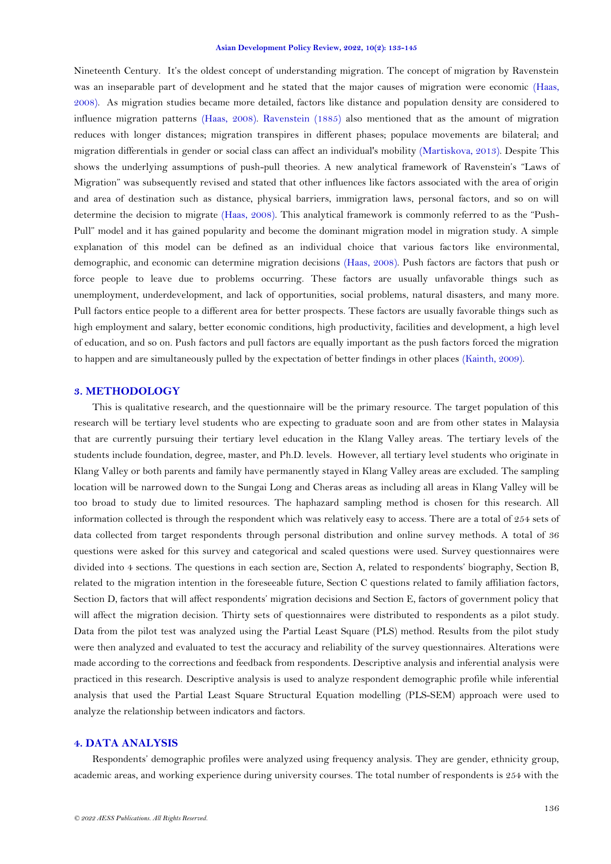Nineteenth Century. It's the oldest concept of understanding migration. The concept of migration by Ravenstein was an inseparable part of development and he stated that the major causes of migration were economic [\(Haas,](#page-8-12)  [2008\)](#page-8-12). As migration studies became more detailed, factors like distance and population density are considered to influence migration patterns [\(Haas, 2008\)](#page-8-12). [Ravenstein \(1885\)](#page-8-14) also mentioned that as the amount of migration reduces with longer distances; migration transpires in different phases; populace movements are bilateral; and migration differentials in gender or social class can affect an individual's mobility [\(Martiskova, 2013\)](#page-8-8). Despite This shows the underlying assumptions of push-pull theories. A new analytical framework of Ravenstein's "Laws of Migration" was subsequently revised and stated that other influences like factors associated with the area of origin and area of destination such as distance, physical barriers, immigration laws, personal factors, and so on will determine the decision to migrate [\(Haas, 2008\)](#page-8-12). This analytical framework is commonly referred to as the "Push-Pull" model and it has gained popularity and become the dominant migration model in migration study. A simple explanation of this model can be defined as an individual choice that various factors like environmental, demographic, and economic can determine migration decisions [\(Haas, 2008\)](#page-8-12). Push factors are factors that push or force people to leave due to problems occurring. These factors are usually unfavorable things such as unemployment, underdevelopment, and lack of opportunities, social problems, natural disasters, and many more. Pull factors entice people to a different area for better prospects. These factors are usually favorable things such as high employment and salary, better economic conditions, high productivity, facilities and development, a high level of education, and so on. Push factors and pull factors are equally important as the push factors forced the migration to happen and are simultaneously pulled by the expectation of better findings in other places [\(Kainth, 2009\)](#page-8-11).

## **3. METHODOLOGY**

This is qualitative research, and the questionnaire will be the primary resource. The target population of this research will be tertiary level students who are expecting to graduate soon and are from other states in Malaysia that are currently pursuing their tertiary level education in the Klang Valley areas. The tertiary levels of the students include foundation, degree, master, and Ph.D. levels. However, all tertiary level students who originate in Klang Valley or both parents and family have permanently stayed in Klang Valley areas are excluded. The sampling location will be narrowed down to the Sungai Long and Cheras areas as including all areas in Klang Valley will be too broad to study due to limited resources. The haphazard sampling method is chosen for this research. All information collected is through the respondent which was relatively easy to access. There are a total of 254 sets of data collected from target respondents through personal distribution and online survey methods. A total of 36 questions were asked for this survey and categorical and scaled questions were used. Survey questionnaires were divided into 4 sections. The questions in each section are, Section A, related to respondents' biography, Section B, related to the migration intention in the foreseeable future, Section C questions related to family affiliation factors, Section D, factors that will affect respondents' migration decisions and Section E, factors of government policy that will affect the migration decision. Thirty sets of questionnaires were distributed to respondents as a pilot study. Data from the pilot test was analyzed using the Partial Least Square (PLS) method. Results from the pilot study were then analyzed and evaluated to test the accuracy and reliability of the survey questionnaires. Alterations were made according to the corrections and feedback from respondents. Descriptive analysis and inferential analysis were practiced in this research. Descriptive analysis is used to analyze respondent demographic profile while inferential analysis that used the Partial Least Square Structural Equation modelling (PLS-SEM) approach were used to analyze the relationship between indicators and factors.

#### **4. DATA ANALYSIS**

Respondents' demographic profiles were analyzed using frequency analysis. They are gender, ethnicity group, academic areas, and working experience during university courses. The total number of respondents is 254 with the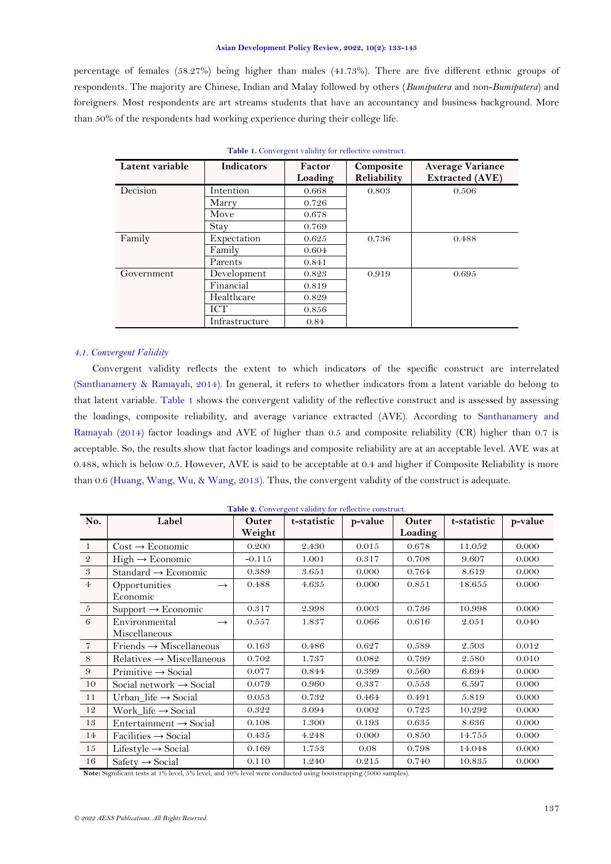percentage of females (58.27%) being higher than males (41.73%). There are five different ethnic groups of respondents. The majority are Chinese, Indian and Malay followed by others (*Bumiputera* and non-*Bumiputera*) and foreigners. Most respondents are art streams students that have an accountancy and business background. More than 50% of the respondents had working experience during their college life.

<span id="page-4-0"></span>

| Latent variable | <b>Indicators</b> | Factor<br>Loading | Composite<br>Reliability | <b>Average Variance</b><br><b>Extracted (AVE)</b> |
|-----------------|-------------------|-------------------|--------------------------|---------------------------------------------------|
| Decision        | Intention         | 0.668             | 0.803                    | 0.506                                             |
|                 | Marry             | 0.726             |                          |                                                   |
|                 | Move              | 0.678             |                          |                                                   |
|                 | Stay              | 0.769             |                          |                                                   |
| Family          | Expectation       | 0.625             | 0.736                    | 0.488                                             |
|                 | Family            | 0.604             |                          |                                                   |
|                 | Parents           | 0.841             |                          |                                                   |
| Government      | Development       | 0.823             | 0.919                    | 0.695                                             |
|                 | Financial         | 0.819             |                          |                                                   |
|                 | Healthcare        | 0.829             |                          |                                                   |
|                 | ICT               | 0.856             |                          |                                                   |
|                 | Infrastructure    | 0.84              |                          |                                                   |

**Table 1.** Convergent validity for reflective construct.

# *4.1. Convergent Validity*

Convergent validity reflects the extent to which indicators of the specific construct are interrelated [\(Santhanamery & Ramayah, 2014\)](#page-8-15). In general, it refers to whether indicators from a latent variable do belong to that latent variable. [Table](#page-4-0) 1 shows the convergent validity of the reflective construct and is assessed by assessing the loadings, composite reliability, and average variance extracted (AVE). According to [Santhanamery and](#page-8-15)  [Ramayah \(2014\)](#page-8-15) factor loadings and AVE of higher than 0.5 and composite reliability (CR) higher than 0.7 is acceptable. So, the results show that factor loadings and composite reliability are at an acceptable level. AVE was at 0.488, which is below 0.5. However, AVE is said to be acceptable at 0.4 and higher if Composite Reliability is more than 0.6 [\(Huang, Wang, Wu, & Wang, 2013\)](#page-8-16). Thus, the convergent validity of the construct is adequate.

|  | Table 2. Convergent validity for reflective construct. |  |  |  |
|--|--------------------------------------------------------|--|--|--|
|--|--------------------------------------------------------|--|--|--|

<span id="page-4-1"></span>

| No.            | Label                                           | Outer<br>Weight | t-statistic | p-value | Outer<br>Loading | t-statistic | p-value |
|----------------|-------------------------------------------------|-----------------|-------------|---------|------------------|-------------|---------|
| - 1            | $Cost \rightarrow Economic$                     | 0.200           | 2.430       | 0.015   | 0.678            | 11.052      | 0.000   |
| $\mathcal{Q}$  | $High \rightarrow Economic$                     | $-0.115$        | 1.001       | 0.317   | 0.708            | 9.607       | 0.000   |
| 3              | Standard $\rightarrow$ Economic                 | 0.389           | 3.651       | 0.000   | 0.764            | 8.619       | 0.000   |
| $\overline{4}$ | Opportunities<br>$\rightarrow$<br>Economic      | 0.488           | 4.635       | 0.000   | 0.851            | 18.655      | 0.000   |
| 5              | $Support \rightarrow Economic$                  | 0.317           | 2.998       | 0.003   | 0.736            | 10.998      | 0.000   |
| 6              | Environmental<br>$\rightarrow$<br>Miscellaneous | 0.557           | 1.837       | 0.066   | 0.616            | 2.051       | 0.040   |
| $\overline{7}$ | $Friends \rightarrow Miscellaneous$             | 0.163           | 0.486       | 0.627   | 0.589            | 2.503       | 0.012   |
| 8              | $Relatives \rightarrow Miscellaneous$           | 0.702           | 1.737       | 0.082   | 0.799            | 2.580       | 0.010   |
| 9              | $Primitive \rightarrow Social$                  | 0.077           | 0.844       | 0.399   | 0.560            | 6.694       | 0.000   |
| 10             | Social network $\rightarrow$ Social             | 0.079           | 0.960       | 0.337   | 0.553            | 6.597       | 0.000   |
| 11             | Urban_life $\rightarrow$ Social                 | 0.053           | 0.732       | 0.464   | 0.491            | 5.819       | 0.000   |
| 12             | $Work\_life \rightarrow Social$                 | 0.322           | 3.094       | 0.002   | 0.723            | 10.292      | 0.000   |
| 13             | Entertainment $\rightarrow$ Social              | 0.108           | 1.300       | 0.193   | 0.635            | 8.636       | 0.000   |
| 14             | $Facilities \rightarrow Social$                 | 0.435           | 4.248       | 0.000   | 0.850            | 14.755      | 0.000   |
| 15             | Lifestyle $\rightarrow$ Social                  | 0.169           | 1.753       | 0.08    | 0.798            | 14.048      | 0.000   |
| 16             | $Safety \rightarrow Social$                     | 0.110           | 1.240       | 0.215   | 0.740            | 10.835      | 0.000   |

**Note:** Significant tests at 1% level, 5% level, and 10% level were conducted using bootstrapping (5000 samples).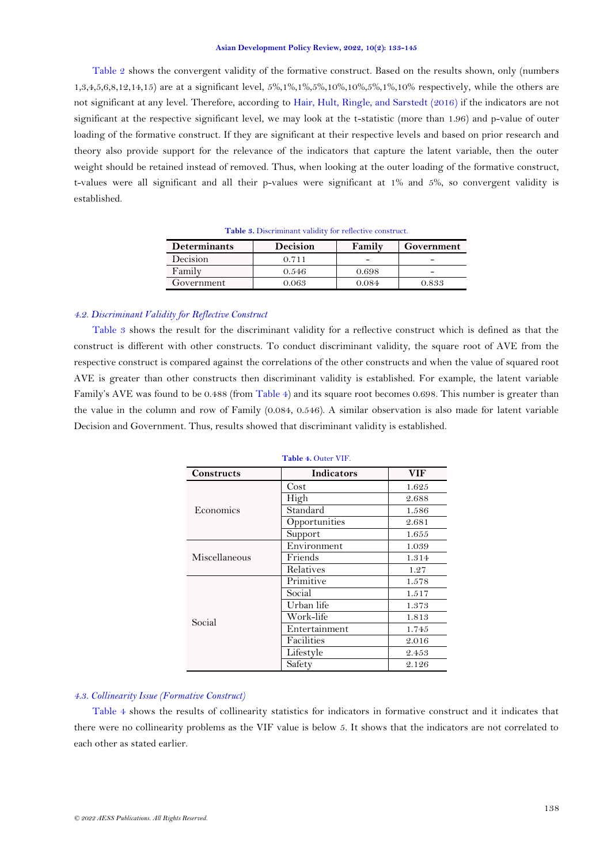[Table 2](#page-4-1) shows the convergent validity of the formative construct. Based on the results shown, only (numbers 1,3,4,5,6,8,12,14,15) are at a significant level, 5%,1%,1%,5%,10%,10%,5%,1%,10% respectively, while the others are not significant at any level. Therefore, according to [Hair, Hult, Ringle, and Sarstedt \(2016\)](#page-8-17) if the indicators are not significant at the respective significant level, we may look at the t-statistic (more than 1.96) and p-value of outer loading of the formative construct. If they are significant at their respective levels and based on prior research and theory also provide support for the relevance of the indicators that capture the latent variable, then the outer weight should be retained instead of removed. Thus, when looking at the outer loading of the formative construct, t-values were all significant and all their p-values were significant at 1% and 5%, so convergent validity is established.

| <b>Determinants</b> | <b>Decision</b> | Family | Government |
|---------------------|-----------------|--------|------------|
| Decision            | 0.711           |        |            |
| Family              | 0.546           | 0.698  | -          |
| Government          | 2.063           | 0.084  | 0.833      |

**Table 3.** Discriminant validity for reflective construct.

### <span id="page-5-0"></span>*4.2. Discriminant Validity for Reflective Construct*

[Table 3](#page-5-0) shows the result for the discriminant validity for a reflective construct which is defined as that the construct is different with other constructs. To conduct discriminant validity, the square root of AVE from the respective construct is compared against the correlations of the other constructs and when the value of squared root AVE is greater than other constructs then discriminant validity is established. For example, the latent variable Family's AVE was found to be 0.488 (from [Table 4\)](#page-5-1) and its square root becomes 0.698. This number is greater than the value in the column and row of Family (0.084, 0.546). A similar observation is also made for latent variable Decision and Government. Thus, results showed that discriminant validity is established.

<span id="page-5-1"></span>

| <b>Constructs</b> | <b>Indicators</b> | <b>VIF</b> |  |  |  |  |
|-------------------|-------------------|------------|--|--|--|--|
|                   | Cost              | 1.625      |  |  |  |  |
|                   | High              | 2.688      |  |  |  |  |
| Economics         | Standard          | 1.586      |  |  |  |  |
|                   | Opportunities     | 2.681      |  |  |  |  |
|                   | Support           | 1.655      |  |  |  |  |
|                   | Environment       | 1.039      |  |  |  |  |
| Miscellaneous     | Friends           | 1.314      |  |  |  |  |
|                   | Relatives         | 1.27       |  |  |  |  |
|                   | Primitive         | 1.578      |  |  |  |  |
|                   | Social            | 1.517      |  |  |  |  |
|                   | Urban life        | 1.373      |  |  |  |  |
| Social            | Work-life         | 1.813      |  |  |  |  |
|                   | Entertainment     | 1.745      |  |  |  |  |
|                   | Facilities        | 2.016      |  |  |  |  |
|                   | Lifestyle         | 2.453      |  |  |  |  |
|                   | Safety            | 2.126      |  |  |  |  |

**Table 4.** Outer VIF.

### *4.3. Collinearity Issue (Formative Construct)*

[Table 4](#page-5-1) shows the results of collinearity statistics for indicators in formative construct and it indicates that there were no collinearity problems as the VIF value is below 5. It shows that the indicators are not correlated to each other as stated earlier.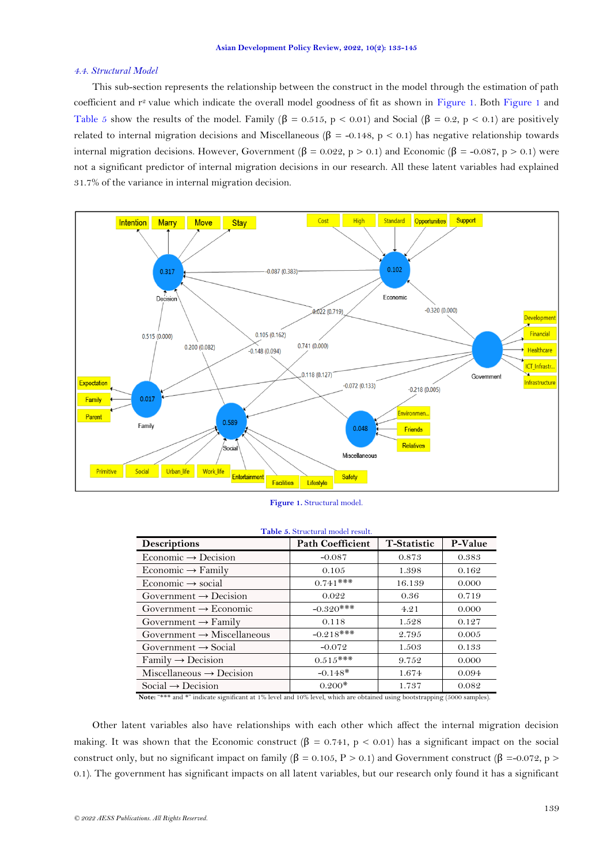### *4.4. Structural Model*

This sub-section represents the relationship between the construct in the model through the estimation of path coefficient and r<sup>2</sup> value which indicate the overall model goodness of fit as shown in [Figure 1.](#page-6-0) Both [Figure 1](#page-6-0) and [Table 5](#page-6-1) show the results of the model. Family  $(\beta = 0.515, p < 0.01)$  and Social  $(\beta = 0.2, p < 0.1)$  are positively related to internal migration decisions and Miscellaneous ( $\beta$  = -0.148, p < 0.1) has negative relationship towards internal migration decisions. However, Government (β = 0.022, p > 0.1) and Economic (β = -0.087, p > 0.1) were not a significant predictor of internal migration decisions in our research. All these latent variables had explained 31.7% of the variance in internal migration decision.



| Figure 1. Structural model. |  |  |  |
|-----------------------------|--|--|--|
|                             |  |  |  |

<span id="page-6-1"></span><span id="page-6-0"></span>

|                                        | <b>Tavic 9.</b> Ou actural model result. |                    |         |
|----------------------------------------|------------------------------------------|--------------------|---------|
| <b>Descriptions</b>                    | <b>Path Coefficient</b>                  | <b>T-Statistic</b> | P-Value |
| Economic $\rightarrow$ Decision        | $-0.087$                                 | 0.873              | 0.383   |
| Economic $\rightarrow$ Family          | 0.105                                    | 1.398              | 0.162   |
| Economic $\rightarrow$ social          | $0.741***$                               | 16.139             | 0.000   |
| Government $\rightarrow$ Decision      | 0.022                                    | 0.36               | 0.719   |
| Government $\rightarrow$ Economic      | $-0.320***$                              | 4.21               | 0.000   |
| Government $\rightarrow$ Family        | 0.118                                    | 1.528              | 0.127   |
| Government $\rightarrow$ Miscellaneous | $-0.218***$                              | 2.795              | 0.005   |
| Government $\rightarrow$ Social        | $-0.072$                                 | 1.503              | 0.133   |
| $Family \rightarrow Decision$          | $0.515***$                               | 9.752              | 0.000   |
| Miscellaneous $\rightarrow$ Decision   | $-0.148*$                                | 1.674              | 0.094   |
| Social $\rightarrow$ Decision          | $0.200*$                                 | 1.737              | 0.082   |

# **Table 5.** Structural model result.

**Note:** "\*\*\* and \*" indicate significant at 1% level and 10% level, which are obtained using bootstrapping (5000 samples).

Other latent variables also have relationships with each other which affect the internal migration decision making. It was shown that the Economic construct ( $\beta = 0.741$ ,  $p < 0.01$ ) has a significant impact on the social construct only, but no significant impact on family ( $\beta = 0.105$ , P > 0.1) and Government construct ( $\beta = -0.072$ , p > 0.1). The government has significant impacts on all latent variables, but our research only found it has a significant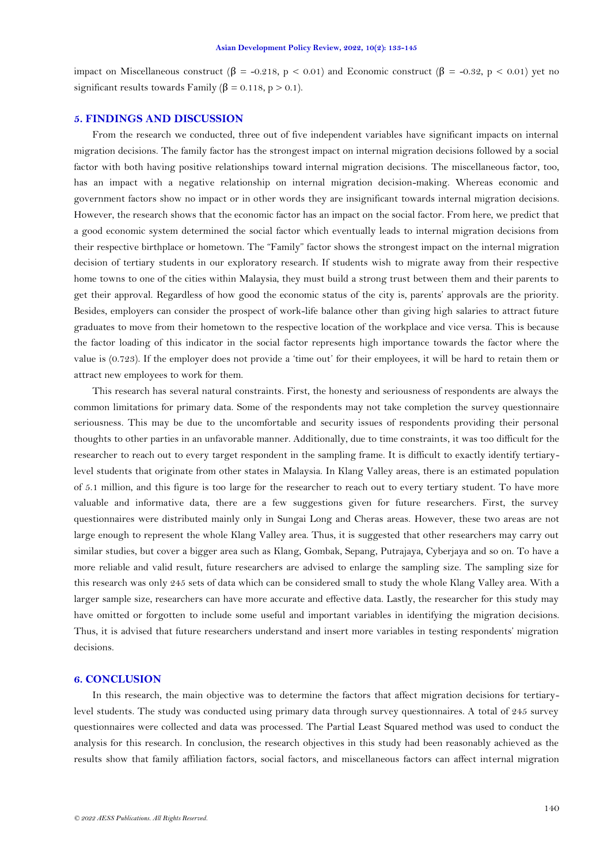impact on Miscellaneous construct ( $\beta$  = -0.218, p < 0.01) and Economic construct ( $\beta$  = -0.32, p < 0.01) yet no significant results towards Family ( $\beta = 0.118$ , p > 0.1).

## **5. FINDINGS AND DISCUSSION**

From the research we conducted, three out of five independent variables have significant impacts on internal migration decisions. The family factor has the strongest impact on internal migration decisions followed by a social factor with both having positive relationships toward internal migration decisions. The miscellaneous factor, too, has an impact with a negative relationship on internal migration decision-making. Whereas economic and government factors show no impact or in other words they are insignificant towards internal migration decisions. However, the research shows that the economic factor has an impact on the social factor. From here, we predict that a good economic system determined the social factor which eventually leads to internal migration decisions from their respective birthplace or hometown. The "Family" factor shows the strongest impact on the internal migration decision of tertiary students in our exploratory research. If students wish to migrate away from their respective home towns to one of the cities within Malaysia, they must build a strong trust between them and their parents to get their approval. Regardless of how good the economic status of the city is, parents' approvals are the priority. Besides, employers can consider the prospect of work-life balance other than giving high salaries to attract future graduates to move from their hometown to the respective location of the workplace and vice versa. This is because the factor loading of this indicator in the social factor represents high importance towards the factor where the value is (0.723). If the employer does not provide a 'time out' for their employees, it will be hard to retain them or attract new employees to work for them.

This research has several natural constraints. First, the honesty and seriousness of respondents are always the common limitations for primary data. Some of the respondents may not take completion the survey questionnaire seriousness. This may be due to the uncomfortable and security issues of respondents providing their personal thoughts to other parties in an unfavorable manner. Additionally, due to time constraints, it was too difficult for the researcher to reach out to every target respondent in the sampling frame. It is difficult to exactly identify tertiarylevel students that originate from other states in Malaysia. In Klang Valley areas, there is an estimated population of 5.1 million, and this figure is too large for the researcher to reach out to every tertiary student. To have more valuable and informative data, there are a few suggestions given for future researchers. First, the survey questionnaires were distributed mainly only in Sungai Long and Cheras areas. However, these two areas are not large enough to represent the whole Klang Valley area. Thus, it is suggested that other researchers may carry out similar studies, but cover a bigger area such as Klang, Gombak, Sepang, Putrajaya, Cyberjaya and so on. To have a more reliable and valid result, future researchers are advised to enlarge the sampling size. The sampling size for this research was only 245 sets of data which can be considered small to study the whole Klang Valley area. With a larger sample size, researchers can have more accurate and effective data. Lastly, the researcher for this study may have omitted or forgotten to include some useful and important variables in identifying the migration decisions. Thus, it is advised that future researchers understand and insert more variables in testing respondents' migration decisions.

#### **6. CONCLUSION**

In this research, the main objective was to determine the factors that affect migration decisions for tertiarylevel students. The study was conducted using primary data through survey questionnaires. A total of 245 survey questionnaires were collected and data was processed. The Partial Least Squared method was used to conduct the analysis for this research. In conclusion, the research objectives in this study had been reasonably achieved as the results show that family affiliation factors, social factors, and miscellaneous factors can affect internal migration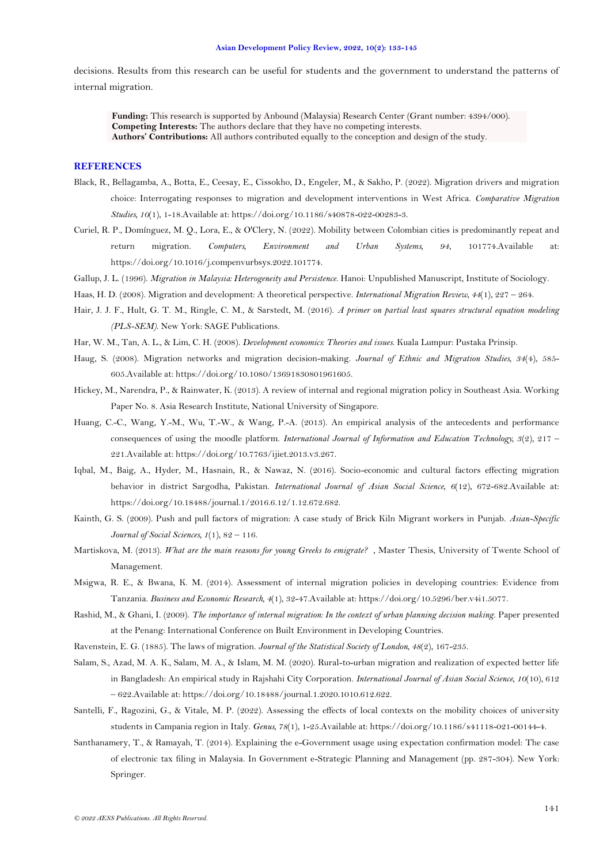decisions. Results from this research can be useful for students and the government to understand the patterns of internal migration.

**Funding:** This research is supported by Anbound (Malaysia) Research Center (Grant number: 4394/000). **Competing Interests:** The authors declare that they have no competing interests. **Authors' Contributions:** All authors contributed equally to the conception and design of the study.

### **REFERENCES**

- <span id="page-8-4"></span>Black, R., Bellagamba, A., Botta, E., Ceesay, E., Cissokho, D., Engeler, M., & Sakho, P. (2022). Migration drivers and migration choice: Interrogating responses to migration and development interventions in West Africa. *Comparative Migration Studies, 10*(1), 1-18.Available at: https://doi.org/10.1186/s40878-022-00283-3.
- <span id="page-8-5"></span>Curiel, R. P., Domínguez, M. Q., Lora, E., & O'Clery, N. (2022). Mobility between Colombian cities is predominantly repeat and return migration. *Computers, Environment and Urban Systems, 94*, 101774.Available at: https://doi.org/10.1016/j.compenvurbsys.2022.101774.
- <span id="page-8-7"></span>Gallup, J. L. (1996). *Migration in Malaysia: Heterogeneity and Persistence*. Hanoi: Unpublished Manuscript, Institute of Sociology.
- <span id="page-8-12"></span>Haas, H. D. (2008). Migration and development: A theoretical perspective. *International Migration Review, 44*(1), 227 – 264.
- <span id="page-8-17"></span>Hair, J. J. F., Hult, G. T. M., Ringle, C. M., & Sarstedt, M. (2016). *A primer on partial least squares structural equation modeling (PLS-SEM)*. New York: SAGE Publications.
- <span id="page-8-13"></span>Har, W. M., Tan, A. L., & Lim, C. H. (2008). *Development economics: Theories and issues*. Kuala Lumpur: Pustaka Prinsip.
- <span id="page-8-9"></span>Haug, S. (2008). Migration networks and migration decision-making. *Journal of Ethnic and Migration Studies, 34*(4), 585- 605.Available at: https://doi.org/10.1080/13691830801961605.
- <span id="page-8-0"></span>Hickey, M., Narendra, P., & Rainwater, K. (2013). A review of internal and regional migration policy in Southeast Asia. Working Paper No. 8. Asia Research Institute, National University of Singapore.
- <span id="page-8-16"></span>Huang, C.-C., Wang, Y.-M., Wu, T.-W., & Wang, P.-A. (2013). An empirical analysis of the antecedents and performance consequences of using the moodle platform. *International Journal of Information and Education Technology, 3*(2), 217 – 221.Available at: https://doi.org/10.7763/ijiet.2013.v3.267.
- <span id="page-8-3"></span>Iqbal, M., Baig, A., Hyder, M., Hasnain, R., & Nawaz, N. (2016). Socio-economic and cultural factors effecting migration behavior in district Sargodha, Pakistan. *International Journal of Asian Social Science, 6*(12), 672-682.Available at: https://doi.org/10.18488/journal.1/2016.6.12/1.12.672.682.
- <span id="page-8-11"></span>Kainth, G. S. (2009). Push and pull factors of migration: A case study of Brick Kiln Migrant workers in Punjab. *Asian-Specific Journal of Social Sciences, 1*(1), 82 – 116.
- <span id="page-8-8"></span>Martiskova, M. (2013). *What are the main reasons for young Greeks to emigrate?* , Master Thesis, University of Twente School of Management.
- <span id="page-8-10"></span>Msigwa, R. E., & Bwana, K. M. (2014). Assessment of internal migration policies in developing countries: Evidence from Tanzania. *Business and Economic Research, 4*(1), 32-47.Available at: https://doi.org/10.5296/ber.v4i1.5077.
- <span id="page-8-1"></span>Rashid, M., & Ghani, I. (2009). *The importance of internal migration: In the context of urban planning decision making*. Paper presented at the Penang: International Conference on Built Environment in Developing Countries.
- <span id="page-8-14"></span>Ravenstein, E. G. (1885). The laws of migration. *Journal of the Statistical Society of London, 48*(2), 167-235.
- <span id="page-8-2"></span>Salam, S., Azad, M. A. K., Salam, M. A., & Islam, M. M. (2020). Rural-to-urban migration and realization of expected better life in Bangladesh: An empirical study in Rajshahi City Corporation. *International Journal of Asian Social Science, 10*(10), 612 – 622.Available at: https://doi.org/10.18488/journal.1.2020.1010.612.622.
- <span id="page-8-6"></span>Santelli, F., Ragozini, G., & Vitale, M. P. (2022). Assessing the effects of local contexts on the mobility choices of university students in Campania region in Italy. *Genus, 78*(1), 1-25.Available at: https://doi.org/10.1186/s41118-021-00144-4.
- <span id="page-8-15"></span>Santhanamery, T., & Ramayah, T. (2014). Explaining the e-Government usage using expectation confirmation model: The case of electronic tax filing in Malaysia. In Government e-Strategic Planning and Management (pp. 287-304). New York: Springer.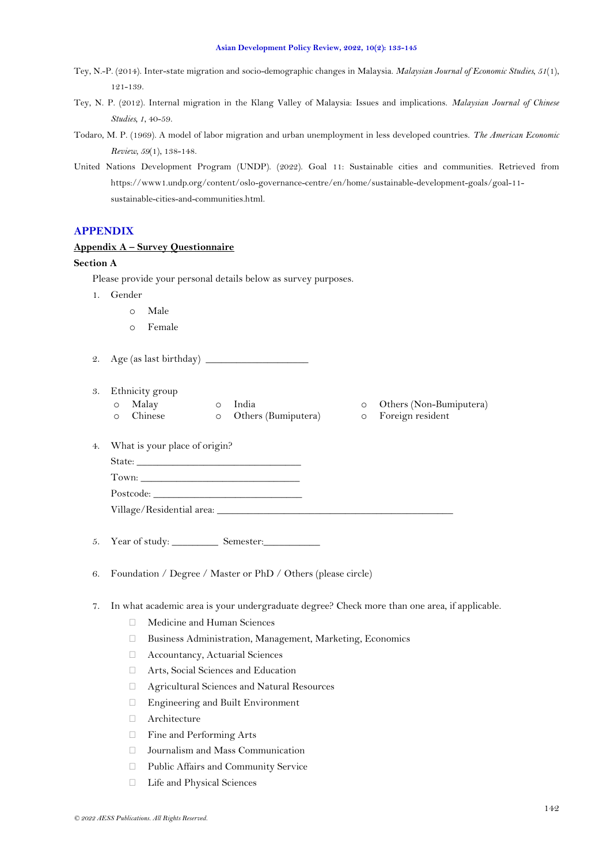- <span id="page-9-0"></span>Tey, N.-P. (2014). Inter-state migration and socio-demographic changes in Malaysia. *Malaysian Journal of Economic Studies, 51*(1), 121-139.
- <span id="page-9-1"></span>Tey, N. P. (2012). Internal migration in the Klang Valley of Malaysia: Issues and implications. *Malaysian Journal of Chinese Studies, 1*, 40-59.
- <span id="page-9-3"></span>Todaro, M. P. (1969). A model of labor migration and urban unemployment in less developed countries. *The American Economic Review, 59*(1), 138-148.
- <span id="page-9-2"></span>United Nations Development Program (UNDP). (2022). Goal 11: Sustainable cities and communities. Retrieved from https://www1.undp.org/content/oslo-governance-centre/en/home/sustainable-development-goals/goal-11 sustainable-cities-and-communities.html.

# **APPENDIX**

# **Appendix A – Survey Questionnaire**

# **Section A**

Please provide your personal details below as survey purposes.

- 1. Gender
	- o Male
	- o Female
- 2. Age (as last birthday) \_\_\_\_\_\_\_\_\_\_\_\_\_\_\_\_\_\_\_\_
- 3. Ethnicity group
	- o Malay o India o Others (Non-Bumiputera)
	- o Chinese o Others (Bumiputera) o Foreign resident
- -

- 4. What is your place of origin?
	- State:  $\_\_$

| Town:     |  |  |
|-----------|--|--|
| Postcode: |  |  |

Village/Residential area: \_\_\_\_\_\_\_\_\_\_\_\_\_\_\_\_\_\_\_\_\_\_\_\_\_\_\_\_\_\_\_\_\_\_\_\_\_\_\_\_\_\_\_\_\_\_

5. Year of study: Semester:

- 6. Foundation / Degree / Master or PhD / Others (please circle)
- 7. In what academic area is your undergraduate degree? Check more than one area, if applicable.
	- Medicine and Human Sciences
	- Business Administration, Management, Marketing, Economics
	- Accountancy, Actuarial Sciences
	- Arts, Social Sciences and Education
	- Agricultural Sciences and Natural Resources
	- Engineering and Built Environment
	- $\Box$  Architecture
	- Fine and Performing Arts
	- Journalism and Mass Communication
	- Public Affairs and Community Service
	- Life and Physical Sciences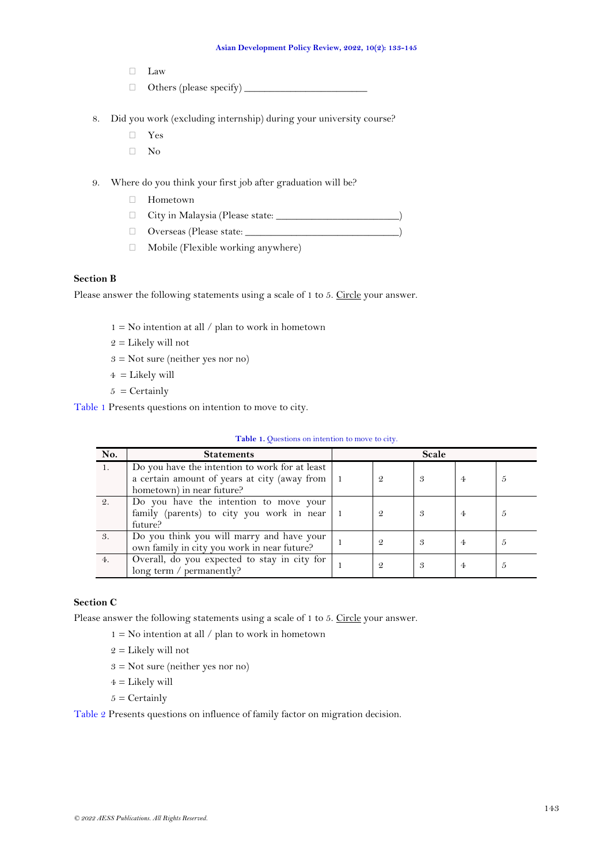- Law
- Others (please specify) \_\_\_\_\_\_\_\_\_\_\_\_\_\_\_\_\_\_\_\_\_\_\_\_
- 8. Did you work (excluding internship) during your university course?
	- Yes
	- $\neg$  No
- 9. Where do you think your first job after graduation will be?
	- Hometown
	- City in Malaysia (Please state: \_\_\_\_\_\_\_\_\_\_\_\_\_\_\_\_\_\_\_\_\_\_\_\_\_\_)
	- $\Box$  Overseas (Please state:  $\Box$
	- $\Box$  Mobile (Flexible working anywhere)

# **Section B**

Please answer the following statements using a scale of 1 to 5. Circle your answer.

- $1 = No$  intention at all / plan to work in hometown
- $2 =$  Likely will not
- $3 = Not sure (neither yes nor no)$
- $4 =$  Likely will
- $5 =$  Certainly

[Table 1](#page-10-0) Presents questions on intention to move to city.

| <b>Table 1.</b> Questions on intention to move to city. |  |  |  |
|---------------------------------------------------------|--|--|--|
|---------------------------------------------------------|--|--|--|

<span id="page-10-0"></span>

| No. | <b>Statements</b>                                                                                                           |               | Scale |                |   |
|-----|-----------------------------------------------------------------------------------------------------------------------------|---------------|-------|----------------|---|
| 1.  | Do you have the intention to work for at least<br>a certain amount of years at city (away from<br>hometown) in near future? | $\mathcal{Q}$ | 3     | $\overline{4}$ | Ð |
| 2.  | Do you have the intention to move your<br>family (parents) to city you work in near<br>future?                              |               | 3     | $\overline{4}$ | Ð |
| 3.  | Do you think you will marry and have your<br>own family in city you work in near future?                                    |               | 3     | $\overline{4}$ | Ð |
| 4.  | Overall, do you expected to stay in city for<br>long term / permanently?                                                    | 9             | 3     | 4              | Ð |

# **Section C**

Please answer the following statements using a scale of 1 to 5. Circle your answer.

- $1 = No$  intention at all / plan to work in hometown
- $2 =$  Likely will not
- 3 = Not sure (neither yes nor no)
- $4 =$  Likely will
- $5 =$  Certainly

[Table 2](#page-11-0) Presents questions on influence of family factor on migration decision.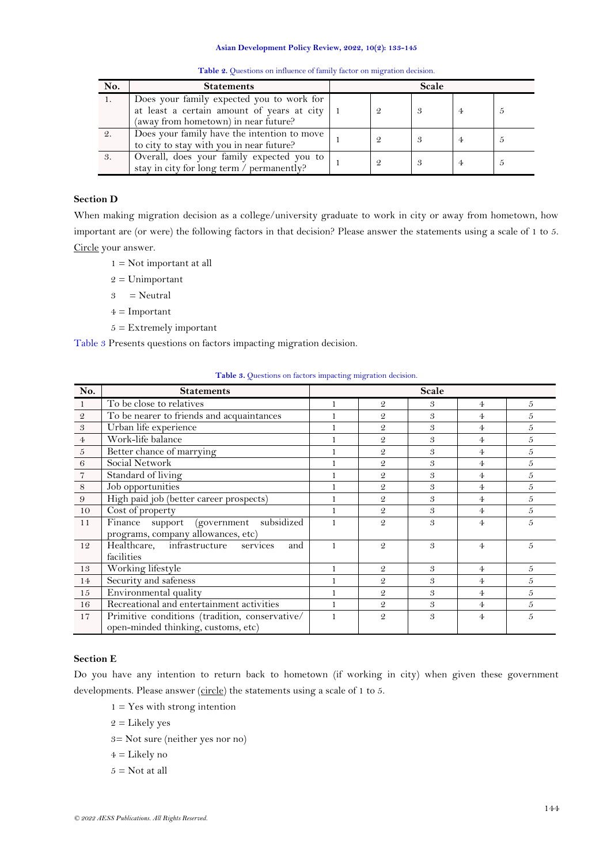<span id="page-11-0"></span>

| No. | <b>Statements</b>                                                                                                                         |               | Scale |   |  |
|-----|-------------------------------------------------------------------------------------------------------------------------------------------|---------------|-------|---|--|
| 1.  | Does your family expected you to work for<br>at least a certain amount of years at city $\vert$ 1<br>(away from hometown) in near future? | $\mathcal{Q}$ |       |   |  |
|     | Does your family have the intention to move<br>to city to stay with you in near future?                                                   | 9             |       |   |  |
| 3.  | Overall, does your family expected you to<br>stay in city for long term / permanently?                                                    | 9             |       | 4 |  |

**Table 2.** Questions on influence of family factor on migration decision.

# **Section D**

When making migration decision as a college/university graduate to work in city or away from hometown, how important are (or were) the following factors in that decision? Please answer the statements using a scale of 1 to 5. Circle your answer.

- 1 = Not important at all
- $2 =$ Unimportant
- $3 =$  Neutral
- $4 =$ Important
- $5 =$  Extremely important

[Table 3](#page-11-1) Presents questions on factors impacting migration decision.

<span id="page-11-1"></span>

| No.                        | <b>Statements</b>                                                                     |   |                | Scale |                |   |
|----------------------------|---------------------------------------------------------------------------------------|---|----------------|-------|----------------|---|
| -1                         | To be close to relatives                                                              |   | $\mathfrak{D}$ | 3     | 4              | 5 |
| $\mathcal Q$               | To be nearer to friends and acquaintances                                             |   | $\mathcal{Q}$  | 3     | $\overline{4}$ | 5 |
| $\boldsymbol{\mathcal{S}}$ | Urban life experience                                                                 |   | $\mathfrak{D}$ | 3     | $\overline{4}$ | 5 |
| $\overline{4}$             | Work-life balance                                                                     |   | $\mathfrak{D}$ | 3     | $\overline{4}$ | 5 |
| $\boldsymbol{5}$           | Better chance of marrying                                                             |   | $\mathfrak{D}$ | 3     | 4              | 5 |
| $\sqrt{6}$                 | Social Network                                                                        |   | $\mathfrak{D}$ | 3     | $\overline{4}$ | 5 |
| $\overline{7}$             | Standard of living                                                                    |   | $\mathfrak{D}$ | 3     | $\overline{4}$ | 5 |
| $\,8\,$                    | Job opportunities                                                                     |   | $\mathfrak{D}$ | 3     | $\overline{4}$ | 5 |
| 9                          | High paid job (better career prospects)                                               |   | $\mathfrak{D}$ | 3     | 4              | 5 |
| 10                         | Cost of property                                                                      |   | $\mathcal{Q}$  | 3     | $\overline{4}$ | 5 |
| 11                         | Finance support (government subsidized                                                |   | $\mathcal{Q}$  | 3     | 4              | 5 |
|                            | programs, company allowances, etc)                                                    |   |                |       |                |   |
| 12                         | Healthcare, infrastructure services<br>and                                            | 1 | $\mathcal{Q}$  | 3     | $\overline{4}$ | 5 |
|                            | facilities                                                                            |   |                |       |                |   |
| 13                         | Working lifestyle                                                                     |   | $\mathcal{Q}$  | 3     | $\overline{4}$ | 5 |
| 14                         | Security and safeness                                                                 |   | $\mathfrak{D}$ | 3     | $\overline{4}$ | 5 |
| 15                         | Environmental quality                                                                 |   | $\mathcal{Q}$  | 3     | $\overline{4}$ | 5 |
| 16                         | Recreational and entertainment activities                                             |   | $\mathcal{Q}$  | 3     | $\overline{4}$ | 5 |
| 17                         | Primitive conditions (tradition, conservative/<br>open-minded thinking, customs, etc) |   | $\mathfrak{D}$ | 3     | $\overline{4}$ | 5 |

# **Table 3.** Ouestions on factors impacting migration decision.

# **Section E**

Do you have any intention to return back to hometown (if working in city) when given these government developments. Please answer (circle) the statements using a scale of 1 to 5.

- $1 = Yes$  with strong intention
- $2 =$  Likely yes
- 3= Not sure (neither yes nor no)
- $4 =$  Likely no
- $5 =$  Not at all